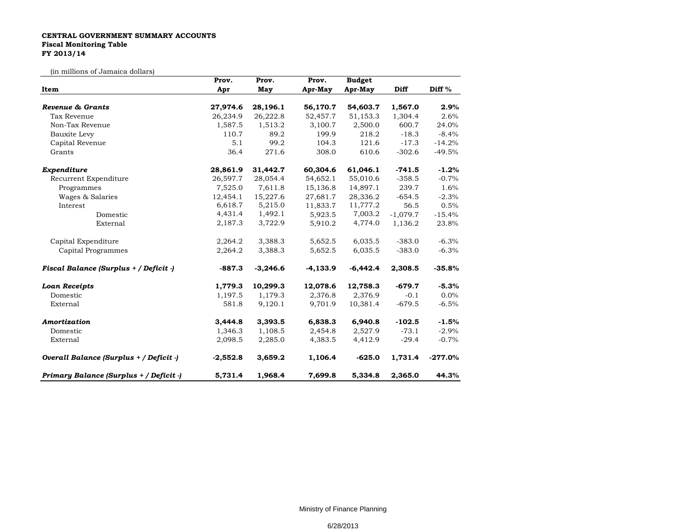## **CENTRAL GOVERNMENT SUMMARY ACCOUNTS Fiscal Monitoring Table FY 2013/14**

(in millions of Jamaica dollars)

|                                         | Prov.      | Prov.      | Prov.      | <b>Budget</b> |             |           |
|-----------------------------------------|------------|------------|------------|---------------|-------------|-----------|
| Item                                    | Apr        | May        | Apr-May    | Apr-May       | <b>Diff</b> | Diff $%$  |
|                                         |            |            |            |               |             |           |
| Revenue & Grants                        | 27,974.6   | 28,196.1   | 56,170.7   | 54,603.7      | 1,567.0     | 2.9%      |
| Tax Revenue                             | 26,234.9   | 26,222.8   | 52,457.7   | 51,153.3      | 1,304.4     | 2.6%      |
| Non-Tax Revenue                         | 1,587.5    | 1,513.2    | 3,100.7    | 2,500.0       | 600.7       | 24.0%     |
| <b>Bauxite Levy</b>                     | 110.7      | 89.2       | 199.9      | 218.2         | $-18.3$     | $-8.4%$   |
| Capital Revenue                         | 5.1        | 99.2       | 104.3      | 121.6         | $-17.3$     | $-14.2%$  |
| Grants                                  | 36.4       | 271.6      | 308.0      | 610.6         | $-302.6$    | $-49.5%$  |
| Expenditure                             | 28,861.9   | 31,442.7   | 60,304.6   | 61,046.1      | $-741.5$    | $-1.2%$   |
| Recurrent Expenditure                   | 26,597.7   | 28,054.4   | 54,652.1   | 55,010.6      | $-358.5$    | $-0.7%$   |
| Programmes                              | 7,525.0    | 7,611.8    | 15,136.8   | 14,897.1      | 239.7       | 1.6%      |
| Wages & Salaries                        | 12,454.1   | 15,227.6   | 27,681.7   | 28,336.2      | $-654.5$    | $-2.3%$   |
| Interest                                | 6,618.7    | 5,215.0    | 11,833.7   | 11,777.2      | 56.5        | 0.5%      |
| Domestic                                | 4,431.4    | 1,492.1    | 5,923.5    | 7,003.2       | $-1,079.7$  | $-15.4%$  |
| External                                | 2,187.3    | 3,722.9    | 5,910.2    | 4,774.0       | 1,136.2     | 23.8%     |
| Capital Expenditure                     | 2,264.2    | 3,388.3    | 5,652.5    | 6,035.5       | $-383.0$    | $-6.3%$   |
| Capital Programmes                      | 2,264.2    | 3,388.3    | 5,652.5    | 6,035.5       | $-383.0$    | $-6.3%$   |
| Fiscal Balance (Surplus + / Deficit -)  | $-887.3$   | $-3,246.6$ | $-4,133.9$ | $-6,442.4$    | 2,308.5     | $-35.8%$  |
| <b>Loan Receipts</b>                    | 1,779.3    | 10,299.3   | 12,078.6   | 12,758.3      | $-679.7$    | $-5.3%$   |
| Domestic                                | 1,197.5    | 1,179.3    | 2,376.8    | 2,376.9       | $-0.1$      | $0.0\%$   |
| External                                | 581.8      | 9,120.1    | 9,701.9    | 10,381.4      | $-679.5$    | $-6.5%$   |
| Amortization                            | 3,444.8    | 3,393.5    | 6,838.3    | 6,940.8       | $-102.5$    | $-1.5%$   |
| Domestic                                | 1,346.3    | 1,108.5    | 2,454.8    | 2,527.9       | $-73.1$     | $-2.9%$   |
| External                                | 2,098.5    | 2,285.0    | 4,383.5    | 4,412.9       | $-29.4$     | $-0.7%$   |
| Overall Balance (Surplus + / Deficit -) | $-2,552.8$ | 3,659.2    | 1,106.4    | $-625.0$      | 1,731.4     | $-277.0%$ |
| Primary Balance (Surplus + / Deficit -) | 5,731.4    | 1,968.4    | 7,699.8    | 5,334.8       | 2,365.0     | 44.3%     |

Ministry of Finance Planning